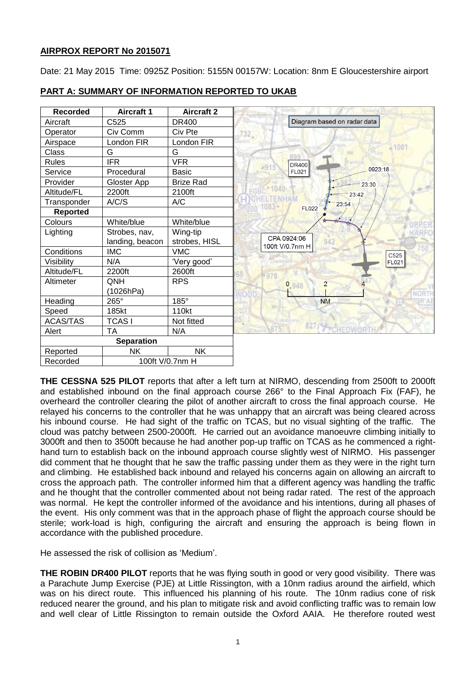# **AIRPROX REPORT No 2015071**

Date: 21 May 2015 Time: 0925Z Position: 5155N 00157W: Location: 8nm E Gloucestershire airport

| <b>Recorded</b>   | <b>Aircraft 1</b> | <b>Aircraft 2</b> |                                       |
|-------------------|-------------------|-------------------|---------------------------------------|
| Aircraft          | C525              | <b>DR400</b>      | Diagram based on radar data           |
| Operator          | Civ Comm          | Civ Pte           | $732 -$                               |
| Airspace          | London FIR        | London FIR        |                                       |
| Class             | G                 | G                 | RQQ                                   |
| <b>Rules</b>      | <b>IFR</b>        | <b>VFR</b>        | thermati<br>DR400<br>291              |
| Service           | Procedural        | Basic             | 0923:18<br>FL021                      |
| Provider          | Gloster App       | <b>Brize Rad</b>  | 23:30                                 |
| Altitude/FL       | 2200ft            | 2100ft            | 23:42                                 |
| Transponder       | A/C/S             | A/C               | 23:54<br>$1083 -$                     |
| <b>Reported</b>   |                   |                   | <b>FL022</b>                          |
| Colours           | White/blue        | White/blue        | <b>JRPER</b>                          |
| Lighting          | Strobes, nav,     | Wing-tip          |                                       |
|                   | landing, beacon   | strobes, HISL     | CPA 0924:06<br>942<br>100ft V/0.7nm H |
| Conditions        | <b>IMC</b>        | <b>VMC</b>        | C525                                  |
| Visibility        | N/A               | 'Very good'       | FL021                                 |
| Altitude/FL       | 2200ft            | 2600ft            | 978                                   |
| Altimeter         | QNH               | <b>RPS</b>        | $\overline{2}$<br>0,948               |
|                   | (1026hPa)         |                   |                                       |
| Heading           | 265°              | 185°              | <b>NM</b><br>Gettativ                 |
| Speed             | 185kt             | 110kt             |                                       |
| <b>ACAS/TAS</b>   | <b>TCASI</b>      | Not fitted        |                                       |
| Alert             | <b>TA</b>         | N/A               | 827 FreuEnwert                        |
| <b>Separation</b> |                   |                   |                                       |
| Reported          | <b>NK</b>         | <b>NK</b>         |                                       |
| Recorded          | 100ft V/0.7nm H   |                   |                                       |

# **PART A: SUMMARY OF INFORMATION REPORTED TO UKAB**

**THE CESSNA 525 PILOT** reports that after a left turn at NIRMO, descending from 2500ft to 2000ft and established inbound on the final approach course 266° to the Final Approach Fix (FAF), he overheard the controller clearing the pilot of another aircraft to cross the final approach course. He relayed his concerns to the controller that he was unhappy that an aircraft was being cleared across his inbound course. He had sight of the traffic on TCAS, but no visual sighting of the traffic. The cloud was patchy between 2500-2000ft. He carried out an avoidance manoeuvre climbing initially to 3000ft and then to 3500ft because he had another pop-up traffic on TCAS as he commenced a righthand turn to establish back on the inbound approach course slightly west of NIRMO. His passenger did comment that he thought that he saw the traffic passing under them as they were in the right turn and climbing. He established back inbound and relayed his concerns again on allowing an aircraft to cross the approach path. The controller informed him that a different agency was handling the traffic and he thought that the controller commented about not being radar rated. The rest of the approach was normal. He kept the controller informed of the avoidance and his intentions, during all phases of the event. His only comment was that in the approach phase of flight the approach course should be sterile; work-load is high, configuring the aircraft and ensuring the approach is being flown in accordance with the published procedure.

He assessed the risk of collision as 'Medium'.

**THE ROBIN DR400 PILOT** reports that he was flying south in good or very good visibility. There was a Parachute Jump Exercise (PJE) at Little Rissington, with a 10nm radius around the airfield, which was on his direct route. This influenced his planning of his route. The 10nm radius cone of risk reduced nearer the ground, and his plan to mitigate risk and avoid conflicting traffic was to remain low and well clear of Little Rissington to remain outside the Oxford AAIA. He therefore routed west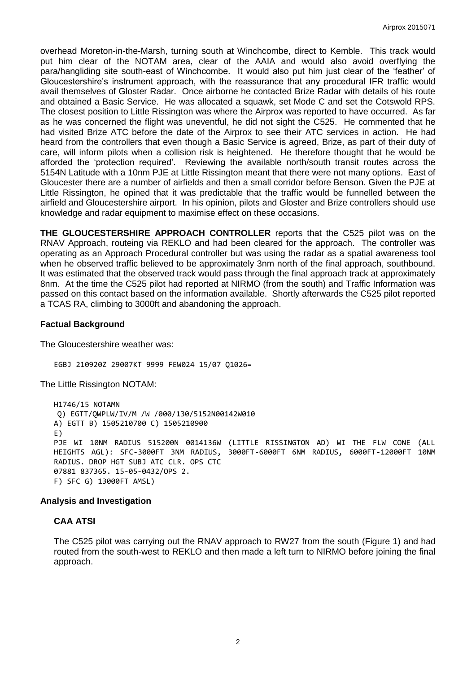overhead Moreton-in-the-Marsh, turning south at Winchcombe, direct to Kemble. This track would put him clear of the NOTAM area, clear of the AAIA and would also avoid overflying the para/hangliding site south-east of Winchcombe. It would also put him just clear of the 'feather' of Gloucestershire's instrument approach, with the reassurance that any procedural IFR traffic would avail themselves of Gloster Radar. Once airborne he contacted Brize Radar with details of his route and obtained a Basic Service. He was allocated a squawk, set Mode C and set the Cotswold RPS. The closest position to Little Rissington was where the Airprox was reported to have occurred. As far as he was concerned the flight was uneventful, he did not sight the C525. He commented that he had visited Brize ATC before the date of the Airprox to see their ATC services in action. He had heard from the controllers that even though a Basic Service is agreed, Brize, as part of their duty of care, will inform pilots when a collision risk is heightened. He therefore thought that he would be afforded the 'protection required'. Reviewing the available north/south transit routes across the 5154N Latitude with a 10nm PJE at Little Rissington meant that there were not many options. East of Gloucester there are a number of airfields and then a small corridor before Benson. Given the PJE at Little Rissington, he opined that it was predictable that the traffic would be funnelled between the airfield and Gloucestershire airport. In his opinion, pilots and Gloster and Brize controllers should use knowledge and radar equipment to maximise effect on these occasions.

**THE GLOUCESTERSHIRE APPROACH CONTROLLER** reports that the C525 pilot was on the RNAV Approach, routeing via REKLO and had been cleared for the approach. The controller was operating as an Approach Procedural controller but was using the radar as a spatial awareness tool when he observed traffic believed to be approximately 3nm north of the final approach, southbound. It was estimated that the observed track would pass through the final approach track at approximately 8nm. At the time the C525 pilot had reported at NIRMO (from the south) and Traffic Information was passed on this contact based on the information available. Shortly afterwards the C525 pilot reported a TCAS RA, climbing to 3000ft and abandoning the approach.

# **Factual Background**

The Gloucestershire weather was:

EGBJ 210920Z 29007KT 9999 FEW024 15/07 Q1026=

The Little Rissington NOTAM:

H1746/15 NOTAMN Q) EGTT/QWPLW/IV/M /W /000/130/5152N00142W010 A) EGTT B) 1505210700 C) 1505210900 E) PJE WI 10NM RADIUS 515200N 0014136W (LITTLE RISSINGTON AD) WI THE FLW CONE (ALL HEIGHTS AGL): SFC-3000FT 3NM RADIUS, 3000FT-6000FT 6NM RADIUS, 6000FT-12000FT 10NM RADIUS. DROP HGT SUBJ ATC CLR. OPS CTC 07881 837365. 15-05-0432/OPS 2. F) SFC G) 13000FT AMSL)

#### **Analysis and Investigation**

# **CAA ATSI**

The C525 pilot was carrying out the RNAV approach to RW27 from the south (Figure 1) and had routed from the south-west to REKLO and then made a left turn to NIRMO before joining the final approach.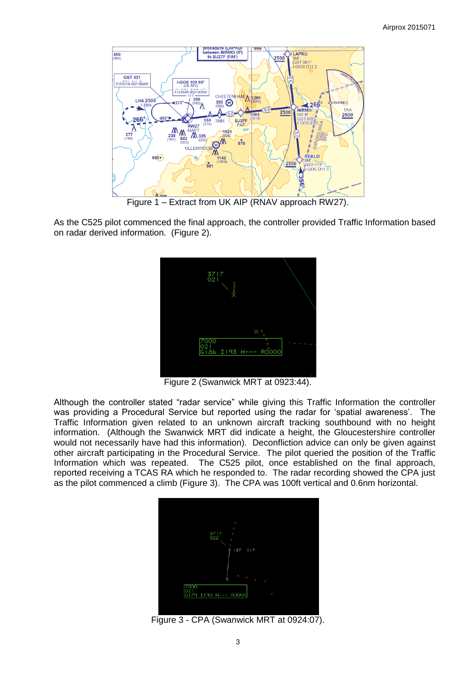

Figure 1 – Extract from UK AIP (RNAV approach RW27).

As the C525 pilot commenced the final approach, the controller provided Traffic Information based on radar derived information. (Figure 2).



Figure 2 (Swanwick MRT at 0923:44).

Although the controller stated "radar service" while giving this Traffic Information the controller was providing a Procedural Service but reported using the radar for 'spatial awareness'. The Traffic Information given related to an unknown aircraft tracking southbound with no height information. (Although the Swanwick MRT did indicate a height, the Gloucestershire controller would not necessarily have had this information). Deconfliction advice can only be given against other aircraft participating in the Procedural Service. The pilot queried the position of the Traffic Information which was repeated. The C525 pilot, once established on the final approach, reported receiving a TCAS RA which he responded to. The radar recording showed the CPA just as the pilot commenced a climb (Figure 3). The CPA was 100ft vertical and 0.6nm horizontal.



Figure 3 - CPA (Swanwick MRT at 0924:07).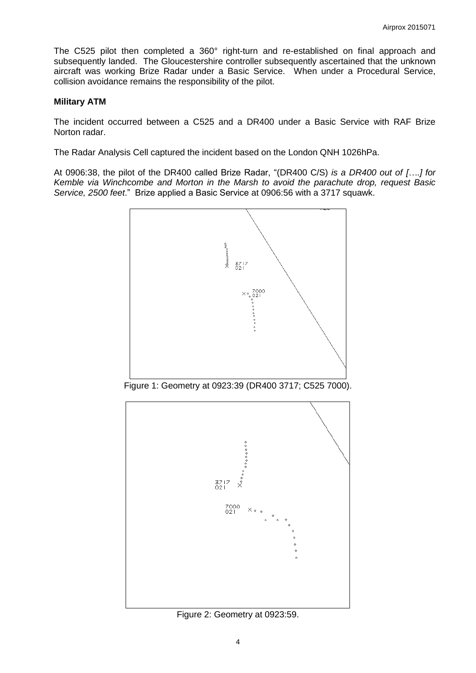The C525 pilot then completed a 360° right-turn and re-established on final approach and subsequently landed. The Gloucestershire controller subsequently ascertained that the unknown aircraft was working Brize Radar under a Basic Service. When under a Procedural Service, collision avoidance remains the responsibility of the pilot.

### **Military ATM**

The incident occurred between a C525 and a DR400 under a Basic Service with RAF Brize Norton radar.

The Radar Analysis Cell captured the incident based on the London QNH 1026hPa.

At 0906:38, the pilot of the DR400 called Brize Radar, "(DR400 C/S) *is a DR400 out of [….] for Kemble via Winchcombe and Morton in the Marsh to avoid the parachute drop, request Basic Service, 2500 feet*." Brize applied a Basic Service at 0906:56 with a 3717 squawk.



Figure 1: Geometry at 0923:39 (DR400 3717; C525 7000).



Figure 2: Geometry at 0923:59.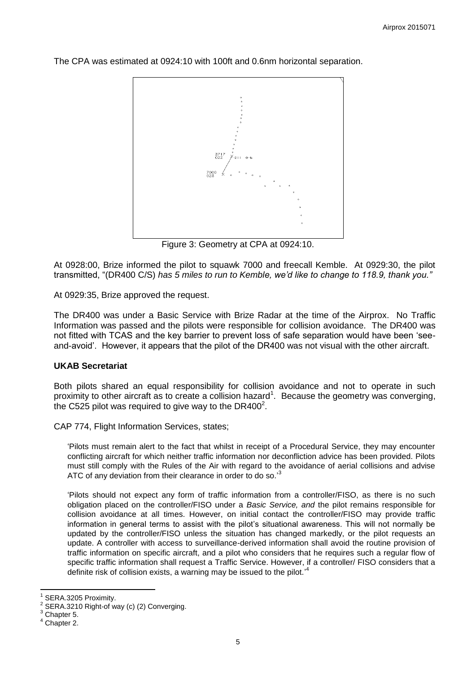The CPA was estimated at 0924:10 with 100ft and 0.6nm horizontal separation.



Figure 3: Geometry at CPA at 0924:10.

At 0928:00, Brize informed the pilot to squawk 7000 and freecall Kemble. At 0929:30, the pilot transmitted, "(DR400 C/S) *has 5 miles to run to Kemble, we'd like to change to 118.9, thank you."*

At 0929:35, Brize approved the request.

The DR400 was under a Basic Service with Brize Radar at the time of the Airprox. No Traffic Information was passed and the pilots were responsible for collision avoidance. The DR400 was not fitted with TCAS and the key barrier to prevent loss of safe separation would have been 'seeand-avoid'. However, it appears that the pilot of the DR400 was not visual with the other aircraft.

# **UKAB Secretariat**

Both pilots shared an equal responsibility for collision avoidance and not to operate in such proximity to other aircraft as to create a collision hazard<sup>1</sup>. Because the geometry was converging, the C525 pilot was required to give way to the DR400<sup>2</sup>.

CAP 774, Flight Information Services, states;

'Pilots must remain alert to the fact that whilst in receipt of a Procedural Service, they may encounter conflicting aircraft for which neither traffic information nor deconfliction advice has been provided. Pilots must still comply with the Rules of the Air with regard to the avoidance of aerial collisions and advise ATC of any deviation from their clearance in order to do so.<sup>3</sup>

'Pilots should not expect any form of traffic information from a controller/FISO, as there is no such obligation placed on the controller/FISO under a *Basic Service, and* the pilot remains responsible for collision avoidance at all times. However, on initial contact the controller/FISO may provide traffic information in general terms to assist with the pilot's situational awareness. This will not normally be updated by the controller/FISO unless the situation has changed markedly, or the pilot requests an update. A controller with access to surveillance-derived information shall avoid the routine provision of traffic information on specific aircraft, and a pilot who considers that he requires such a regular flow of specific traffic information shall request a Traffic Service. However, if a controller/ FISO considers that a definite risk of collision exists, a warning may be issued to the pilot.<sup>14</sup>

 $\overline{a}$ 

<sup>1</sup> SERA.3205 Proximity.

<sup>2</sup> SERA.3210 Right-of way (c) (2) Converging.

Chapter 5.

 $<sup>4</sup>$  Chapter 2.</sup>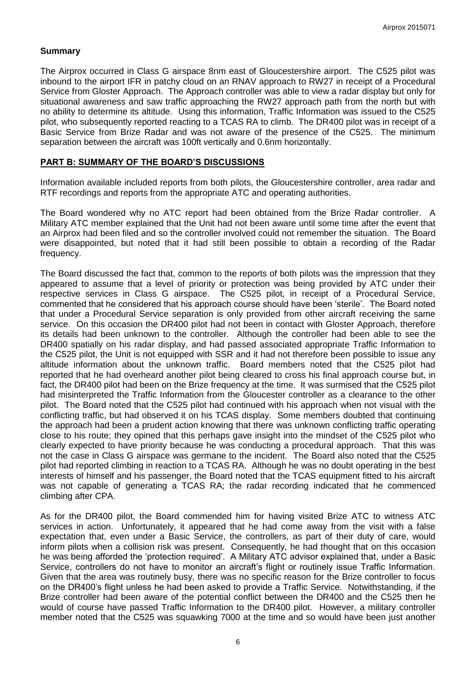#### **Summary**

The Airprox occurred in Class G airspace 8nm east of Gloucestershire airport. The C525 pilot was inbound to the airport IFR in patchy cloud on an RNAV approach to RW27 in receipt of a Procedural Service from Gloster Approach. The Approach controller was able to view a radar display but only for situational awareness and saw traffic approaching the RW27 approach path from the north but with no ability to determine its altitude. Using this information, Traffic Information was issued to the C525 pilot, who subsequently reported reacting to a TCAS RA to climb. The DR400 pilot was in receipt of a Basic Service from Brize Radar and was not aware of the presence of the C525. The minimum separation between the aircraft was 100ft vertically and 0.6nm horizontally.

### **PART B: SUMMARY OF THE BOARD'S DISCUSSIONS**

Information available included reports from both pilots, the Gloucestershire controller, area radar and RTF recordings and reports from the appropriate ATC and operating authorities.

The Board wondered why no ATC report had been obtained from the Brize Radar controller. A Military ATC member explained that the Unit had not been aware until some time after the event that an Airprox had been filed and so the controller involved could not remember the situation. The Board were disappointed, but noted that it had still been possible to obtain a recording of the Radar frequency.

The Board discussed the fact that, common to the reports of both pilots was the impression that they appeared to assume that a level of priority or protection was being provided by ATC under their respective services in Class G airspace. The C525 pilot, in receipt of a Procedural Service, commented that he considered that his approach course should have been 'sterile'. The Board noted that under a Procedural Service separation is only provided from other aircraft receiving the same service. On this occasion the DR400 pilot had not been in contact with Gloster Approach, therefore its details had been unknown to the controller. Although the controller had been able to see the DR400 spatially on his radar display, and had passed associated appropriate Traffic Information to the C525 pilot, the Unit is not equipped with SSR and it had not therefore been possible to issue any altitude information about the unknown traffic. Board members noted that the C525 pilot had reported that he had overheard another pilot being cleared to cross his final approach course but, in fact, the DR400 pilot had been on the Brize frequency at the time. It was surmised that the C525 pilot had misinterpreted the Traffic Information from the Gloucester controller as a clearance to the other pilot. The Board noted that the C525 pilot had continued with his approach when not visual with the conflicting traffic, but had observed it on his TCAS display. Some members doubted that continuing the approach had been a prudent action knowing that there was unknown conflicting traffic operating close to his route; they opined that this perhaps gave insight into the mindset of the C525 pilot who clearly expected to have priority because he was conducting a procedural approach. That this was not the case in Class G airspace was germane to the incident. The Board also noted that the C525 pilot had reported climbing in reaction to a TCAS RA. Although he was no doubt operating in the best interests of himself and his passenger, the Board noted that the TCAS equipment fitted to his aircraft was not capable of generating a TCAS RA; the radar recording indicated that he commenced climbing after CPA.

As for the DR400 pilot, the Board commended him for having visited Brize ATC to witness ATC services in action. Unfortunately, it appeared that he had come away from the visit with a false expectation that, even under a Basic Service, the controllers, as part of their duty of care, would inform pilots when a collision risk was present. Consequently, he had thought that on this occasion he was being afforded the 'protection required'. A Military ATC advisor explained that, under a Basic Service, controllers do not have to monitor an aircraft's flight or routinely issue Traffic Information. Given that the area was routinely busy, there was no specific reason for the Brize controller to focus on the DR400's flight unless he had been asked to provide a Traffic Service. Notwithstanding, if the Brize controller had been aware of the potential conflict between the DR400 and the C525 then he would of course have passed Traffic Information to the DR400 pilot. However, a military controller member noted that the C525 was squawking 7000 at the time and so would have been just another